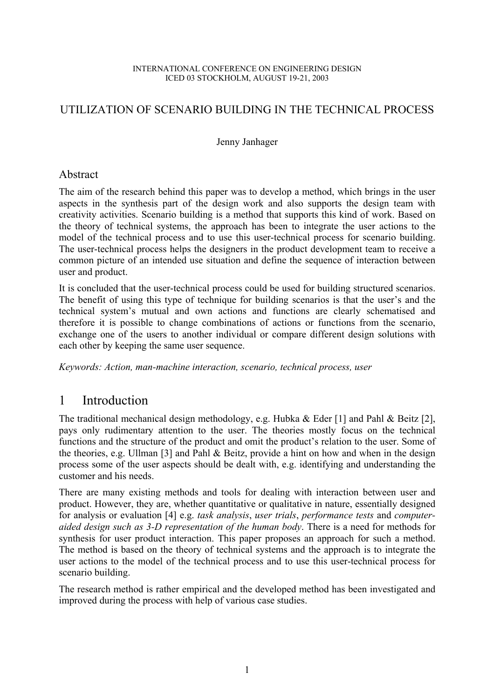#### INTERNATIONAL CONFERENCE ON ENGINEERING DESIGN ICED 03 STOCKHOLM, AUGUST 19-21, 2003

### UTILIZATION OF SCENARIO BUILDING IN THE TECHNICAL PROCESS

Jenny Janhager

#### Abstract

The aim of the research behind this paper was to develop a method, which brings in the user aspects in the synthesis part of the design work and also supports the design team with creativity activities. Scenario building is a method that supports this kind of work. Based on the theory of technical systems, the approach has been to integrate the user actions to the model of the technical process and to use this user-technical process for scenario building. The user-technical process helps the designers in the product development team to receive a common picture of an intended use situation and define the sequence of interaction between user and product.

It is concluded that the user-technical process could be used for building structured scenarios. The benefit of using this type of technique for building scenarios is that the user's and the technical system's mutual and own actions and functions are clearly schematised and therefore it is possible to change combinations of actions or functions from the scenario, exchange one of the users to another individual or compare different design solutions with each other by keeping the same user sequence.

*Keywords: Action, man-machine interaction, scenario, technical process, user* 

# 1 Introduction

The traditional mechanical design methodology, e.g. Hubka & Eder [1] and Pahl & Beitz [2], pays only rudimentary attention to the user. The theories mostly focus on the technical functions and the structure of the product and omit the product's relation to the user. Some of the theories, e.g. Ullman [3] and Pahl & Beitz, provide a hint on how and when in the design process some of the user aspects should be dealt with, e.g. identifying and understanding the customer and his needs.

There are many existing methods and tools for dealing with interaction between user and product. However, they are, whether quantitative or qualitative in nature, essentially designed for analysis or evaluation [4] e.g. *task analysis*, *user trials*, *performance tests* and *computeraided design such as 3-D representation of the human body*. There is a need for methods for synthesis for user product interaction. This paper proposes an approach for such a method. The method is based on the theory of technical systems and the approach is to integrate the user actions to the model of the technical process and to use this user-technical process for scenario building.

The research method is rather empirical and the developed method has been investigated and improved during the process with help of various case studies.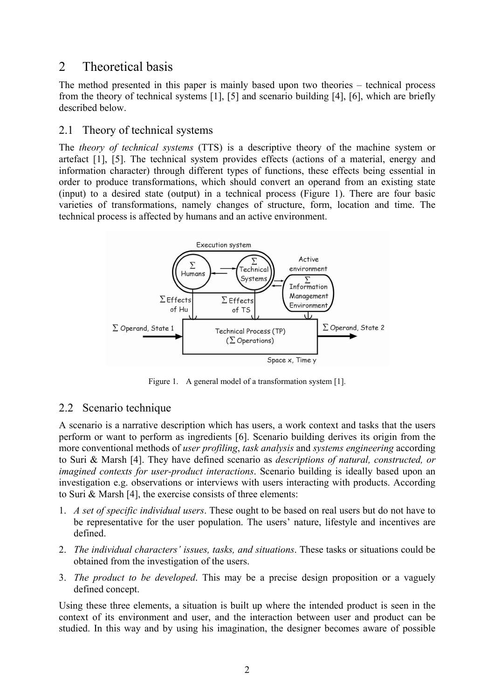# 2 Theoretical basis

The method presented in this paper is mainly based upon two theories – technical process from the theory of technical systems [1], [5] and scenario building [4], [6], which are briefly described below.

### 2.1 Theory of technical systems

The *theory of technical systems* (TTS) is a descriptive theory of the machine system or artefact [1], [5]. The technical system provides effects (actions of a material, energy and information character) through different types of functions, these effects being essential in order to produce transformations, which should convert an operand from an existing state (input) to a desired state (output) in a technical process (Figure 1). There are four basic varieties of transformations, namely changes of structure, form, location and time. The technical process is affected by humans and an active environment.



Figure 1. A general model of a transformation system [1].

#### 2.2 Scenario technique

A scenario is a narrative description which has users, a work context and tasks that the users perform or want to perform as ingredients [6]. Scenario building derives its origin from the more conventional methods of *user profiling*, *task analysis* and *systems engineering* according to Suri & Marsh [4]. They have defined scenario as *descriptions of natural, constructed, or imagined contexts for user-product interactions*. Scenario building is ideally based upon an investigation e.g. observations or interviews with users interacting with products. According to Suri & Marsh [4], the exercise consists of three elements:

- 1. *A set of specific individual users*. These ought to be based on real users but do not have to be representative for the user population. The users' nature, lifestyle and incentives are defined.
- 2. *The individual characters' issues, tasks, and situations*. These tasks or situations could be obtained from the investigation of the users.
- 3. *The product to be developed*. This may be a precise design proposition or a vaguely defined concept.

Using these three elements, a situation is built up where the intended product is seen in the context of its environment and user, and the interaction between user and product can be studied. In this way and by using his imagination, the designer becomes aware of possible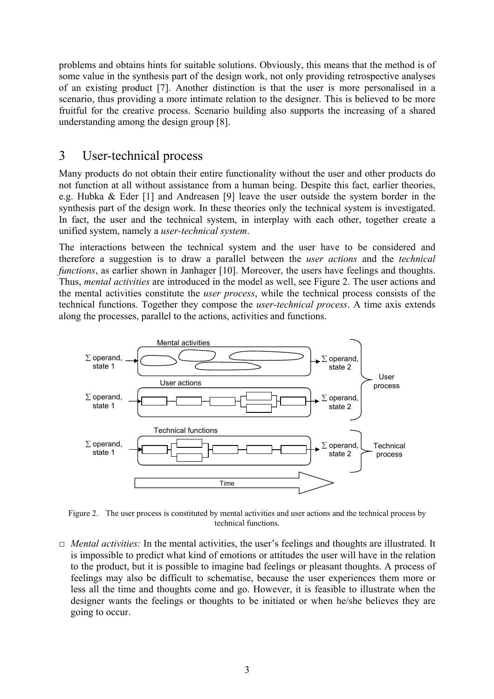problems and obtains hints for suitable solutions. Obviously, this means that the method is of some value in the synthesis part of the design work, not only providing retrospective analyses of an existing product [7]. Another distinction is that the user is more personalised in a scenario, thus providing a more intimate relation to the designer. This is believed to be more fruitful for the creative process. Scenario building also supports the increasing of a shared understanding among the design group [8].

# 3 User-technical process

Many products do not obtain their entire functionality without the user and other products do not function at all without assistance from a human being. Despite this fact, earlier theories, e.g. Hubka & Eder [1] and Andreasen [9] leave the user outside the system border in the synthesis part of the design work. In these theories only the technical system is investigated. In fact, the user and the technical system, in interplay with each other, together create a unified system, namely a *user-technical system*.

The interactions between the technical system and the user have to be considered and therefore a suggestion is to draw a parallel between the *user actions* and the *technical functions*, as earlier shown in Janhager [10]. Moreover, the users have feelings and thoughts. Thus, *mental activities* are introduced in the model as well, see Figure 2. The user actions and the mental activities constitute the *user process*, while the technical process consists of the technical functions. Together they compose the *user-technical process*. A time axis extends along the processes, parallel to the actions, activities and functions.



Figure 2. The user process is constituted by mental activities and user actions and the technical process by technical functions.

**□** *Mental activities:* In the mental activities, the user's feelings and thoughts are illustrated. It is impossible to predict what kind of emotions or attitudes the user will have in the relation to the product, but it is possible to imagine bad feelings or pleasant thoughts. A process of feelings may also be difficult to schematise, because the user experiences them more or less all the time and thoughts come and go. However, it is feasible to illustrate when the designer wants the feelings or thoughts to be initiated or when he/she believes they are going to occur.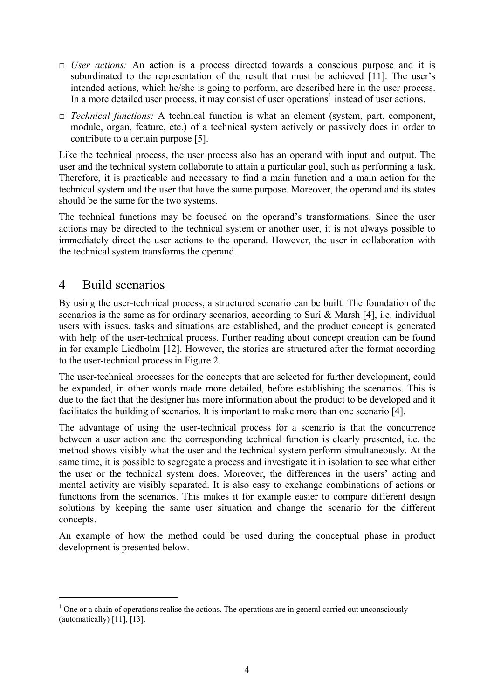- **□** *User actions:* An action is a process directed towards a conscious purpose and it is subordinated to the representation of the result that must be achieved [11]. The user's intended actions, which he/she is going to perform, are described here in the user process. In a more detailed user process, it may consist of user operations<sup>1</sup> instead of user actions.
- **□** *Technical functions:* A technical function is what an element (system, part, component, module, organ, feature, etc.) of a technical system actively or passively does in order to contribute to a certain purpose [5].

Like the technical process, the user process also has an operand with input and output. The user and the technical system collaborate to attain a particular goal, such as performing a task. Therefore, it is practicable and necessary to find a main function and a main action for the technical system and the user that have the same purpose. Moreover, the operand and its states should be the same for the two systems.

The technical functions may be focused on the operand's transformations. Since the user actions may be directed to the technical system or another user, it is not always possible to immediately direct the user actions to the operand. However, the user in collaboration with the technical system transforms the operand.

# 4 Build scenarios

 $\overline{a}$ 

By using the user-technical process, a structured scenario can be built. The foundation of the scenarios is the same as for ordinary scenarios, according to Suri & Marsh [4], i.e. individual users with issues, tasks and situations are established, and the product concept is generated with help of the user-technical process. Further reading about concept creation can be found in for example Liedholm [12]. However, the stories are structured after the format according to the user-technical process in Figure 2.

The user-technical processes for the concepts that are selected for further development, could be expanded, in other words made more detailed, before establishing the scenarios. This is due to the fact that the designer has more information about the product to be developed and it facilitates the building of scenarios. It is important to make more than one scenario [4].

The advantage of using the user-technical process for a scenario is that the concurrence between a user action and the corresponding technical function is clearly presented, i.e. the method shows visibly what the user and the technical system perform simultaneously. At the same time, it is possible to segregate a process and investigate it in isolation to see what either the user or the technical system does. Moreover, the differences in the users' acting and mental activity are visibly separated. It is also easy to exchange combinations of actions or functions from the scenarios. This makes it for example easier to compare different design solutions by keeping the same user situation and change the scenario for the different concepts.

An example of how the method could be used during the conceptual phase in product development is presented below.

 $<sup>1</sup>$  One or a chain of operations realise the actions. The operations are in general carried out unconsciously</sup> (automatically) [11], [13].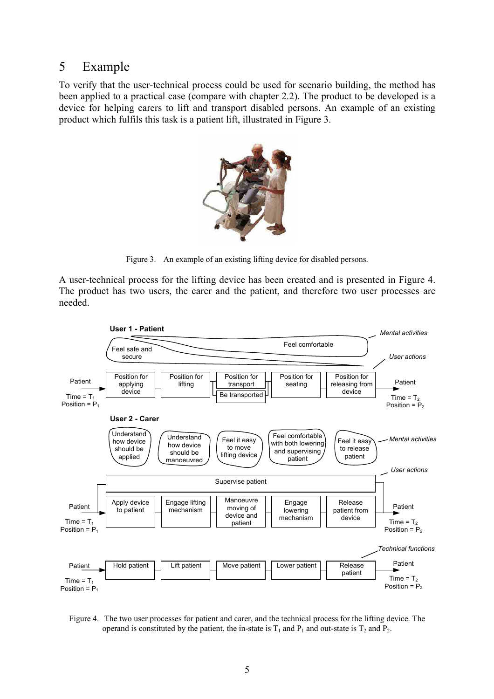# 5 Example

To verify that the user-technical process could be used for scenario building, the method has been applied to a practical case (compare with chapter 2.2). The product to be developed is a device for helping carers to lift and transport disabled persons. An example of an existing product which fulfils this task is a patient lift, illustrated in Figure 3.



Figure 3. An example of an existing lifting device for disabled persons.

A user-technical process for the lifting device has been created and is presented in Figure 4. The product has two users, the carer and the patient, and therefore two user processes are needed.



Figure 4. The two user processes for patient and carer, and the technical process for the lifting device. The operand is constituted by the patient, the in-state is  $T_1$  and  $P_1$  and out-state is  $T_2$  and  $P_2$ .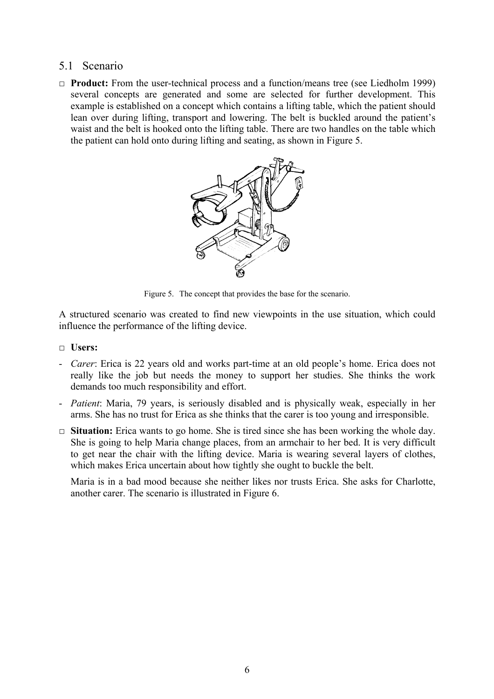#### 5.1 Scenario

**□ Product:** From the user-technical process and a function/means tree (see Liedholm 1999) several concepts are generated and some are selected for further development. This example is established on a concept which contains a lifting table, which the patient should lean over during lifting, transport and lowering. The belt is buckled around the patient's waist and the belt is hooked onto the lifting table. There are two handles on the table which the patient can hold onto during lifting and seating, as shown in Figure 5.



Figure 5. The concept that provides the base for the scenario.

A structured scenario was created to find new viewpoints in the use situation, which could influence the performance of the lifting device.

- **□ Users:**
- *Carer*: Erica is 22 years old and works part-time at an old people's home. Erica does not really like the job but needs the money to support her studies. She thinks the work demands too much responsibility and effort.
- *Patient*: Maria, 79 years, is seriously disabled and is physically weak, especially in her arms. She has no trust for Erica as she thinks that the carer is too young and irresponsible.
- **□ Situation:** Erica wants to go home. She is tired since she has been working the whole day. She is going to help Maria change places, from an armchair to her bed. It is very difficult to get near the chair with the lifting device. Maria is wearing several layers of clothes, which makes Erica uncertain about how tightly she ought to buckle the belt.

Maria is in a bad mood because she neither likes nor trusts Erica. She asks for Charlotte, another carer. The scenario is illustrated in Figure 6.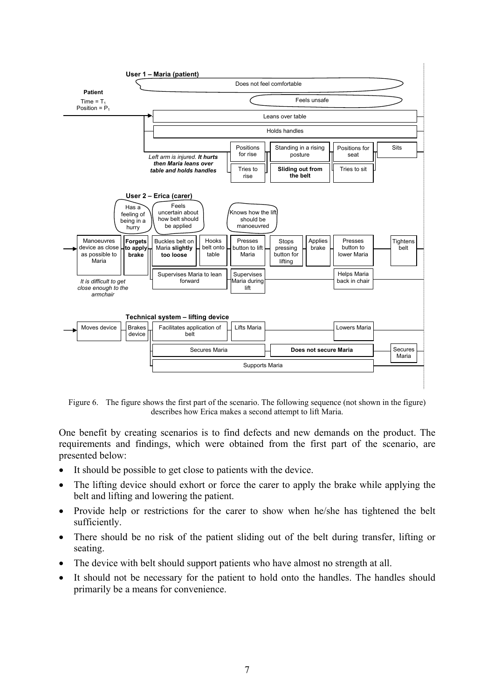

Figure 6. The figure shows the first part of the scenario. The following sequence (not shown in the figure) describes how Erica makes a second attempt to lift Maria.

One benefit by creating scenarios is to find defects and new demands on the product. The requirements and findings, which were obtained from the first part of the scenario, are presented below:

- It should be possible to get close to patients with the device.
- The lifting device should exhort or force the carer to apply the brake while applying the belt and lifting and lowering the patient.
- Provide help or restrictions for the carer to show when he/she has tightened the belt sufficiently.
- There should be no risk of the patient sliding out of the belt during transfer, lifting or seating.
- The device with belt should support patients who have almost no strength at all.
- It should not be necessary for the patient to hold onto the handles. The handles should primarily be a means for convenience.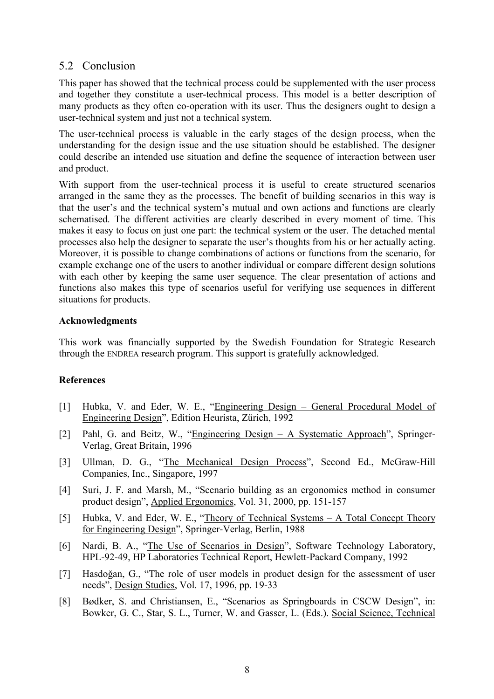### 5.2 Conclusion

This paper has showed that the technical process could be supplemented with the user process and together they constitute a user-technical process. This model is a better description of many products as they often co-operation with its user. Thus the designers ought to design a user-technical system and just not a technical system.

The user-technical process is valuable in the early stages of the design process, when the understanding for the design issue and the use situation should be established. The designer could describe an intended use situation and define the sequence of interaction between user and product.

With support from the user-technical process it is useful to create structured scenarios arranged in the same they as the processes. The benefit of building scenarios in this way is that the user's and the technical system's mutual and own actions and functions are clearly schematised. The different activities are clearly described in every moment of time. This makes it easy to focus on just one part: the technical system or the user. The detached mental processes also help the designer to separate the user's thoughts from his or her actually acting. Moreover, it is possible to change combinations of actions or functions from the scenario, for example exchange one of the users to another individual or compare different design solutions with each other by keeping the same user sequence. The clear presentation of actions and functions also makes this type of scenarios useful for verifying use sequences in different situations for products.

#### **Acknowledgments**

This work was financially supported by the Swedish Foundation for Strategic Research through the ENDREA research program. This support is gratefully acknowledged.

#### **References**

- [1] Hubka, V. and Eder, W. E., "Engineering Design General Procedural Model of Engineering Design", Edition Heurista, Zürich, 1992
- [2] Pahl, G. and Beitz, W., "Engineering Design A Systematic Approach", Springer-Verlag, Great Britain, 1996
- [3] Ullman, D. G., "The Mechanical Design Process", Second Ed., McGraw-Hill Companies, Inc., Singapore, 1997
- [4] Suri, J. F. and Marsh, M., "Scenario building as an ergonomics method in consumer product design", Applied Ergonomics, Vol. 31, 2000, pp. 151-157
- [5] Hubka, V. and Eder, W. E., "Theory of Technical Systems A Total Concept Theory for Engineering Design", Springer-Verlag, Berlin, 1988
- [6] Nardi, B. A., "The Use of Scenarios in Design", Software Technology Laboratory, HPL-92-49, HP Laboratories Technical Report, Hewlett-Packard Company, 1992
- [7] Hasdoğan, G., "The role of user models in product design for the assessment of user needs", Design Studies, Vol. 17, 1996, pp. 19-33
- [8] Bødker, S. and Christiansen, E., "Scenarios as Springboards in CSCW Design", in: Bowker, G. C., Star, S. L., Turner, W. and Gasser, L. (Eds.). Social Science, Technical